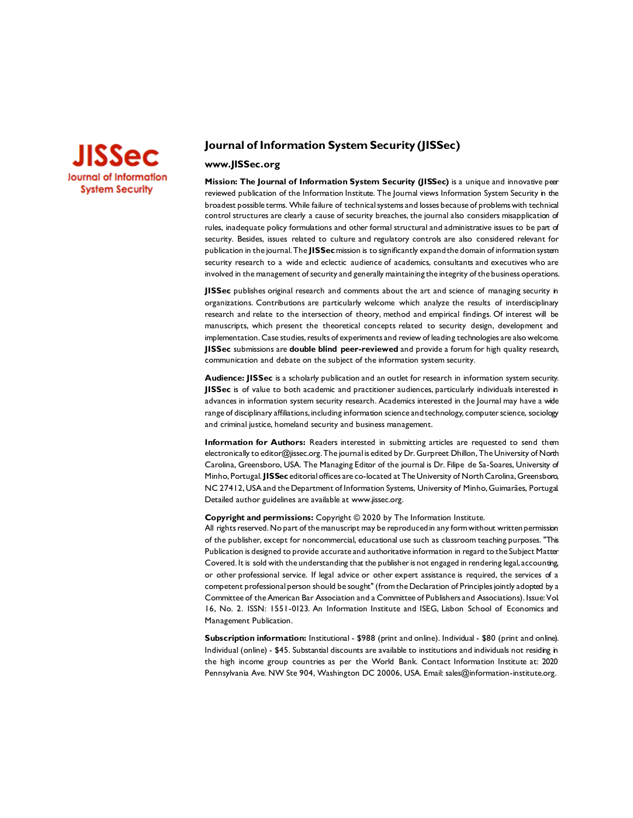

## **Journal of Information System Security (JISSec)**

## **www.JISSec.org**

**Mission: The Journal of Information System Security (JISSec)** is a unique and innovative peer reviewed publication of the Information Institute. The Journal views Information System Security in the broadest possible terms. While failure of technical systems and losses because of problems with technical control structures are clearly a cause of security breaches, the journal also considers misapplication of rules, inadequate policy formulations and other formal structural and administrative issues to be part of security. Besides, issues related to culture and regulatory controls are also considered relevant for publication in the journal. The **JISSec**mission is to significantly expand the domain of information system security research to a wide and eclectic audience of academics, consultants and executives who are involved in the management of security and generally maintaining the integrity of the business operations.

**JISSec** publishes original research and comments about the art and science of managing security in organizations. Contributions are particularly welcome which analyze the results of interdisciplinary research and relate to the intersection of theory, method and empirical findings. Of interest will be manuscripts, which present the theoretical concepts related to security design, development and implementation. Case studies, results of experiments and review of leading technologies are also welcome. **JISSec** submissions are **double blind peer-reviewed** and provide a forum for high quality research, communication and debate on the subject of the information system security.

**Audience: JISSec** is a scholarly publication and an outlet for research in information system security. **JISSec** is of value to both academic and practitioner audiences, particularly individuals interested in advances in information system security research. Academics interested in the Journal may have a wide range of disciplinary affiliations, including information science and technology, computer science, sociology and criminal justice, homeland security and business management.

**Information for Authors:** Readers interested in submitting articles are requested to send them electronically to editor@jissec.org. The journal is edited by Dr. Gurpreet Dhillon, The University of North Carolina, Greensboro, USA. The Managing Editor of the journal is Dr. Filipe de Sa-Soares, University of Minho, Portugal. **JISSec** editorial offices are co-located at The University of North Carolina, Greensboro, NC 27412, USA and the Department of Information Systems, University of Minho, Guimarães, Portugal. Detailed author guidelines are available at www.jissec.org.

#### **Copyright and permissions:** Copyright © 2020 by The Information Institute.

All rights reserved. No part of the manuscript may be reproduced in any form without written permission of the publisher, except for noncommercial, educational use such as classroom teaching purposes. "This Publication is designed to provide accurate and authoritative information in regard to the Subject Matter Covered. It is sold with the understanding that the publisher is not engaged in rendering legal, accounting, or other professional service. If legal advice or other expert assistance is required, the services of a competent professional person should be sought" (from the Declaration of Principles jointly adopted by a Committee of the American Bar Association and a Committee of Publishers and Associations). Issue: Vol. 16, No. 2. ISSN: 1551-0123. An Information Institute and ISEG, Lisbon School of Economics and Management Publication.

**Subscription information:** Institutional - \$988 (print and online). Individual - \$80 (print and online). Individual (online) - \$45. Substantial discounts are available to institutions and individuals not residing in the high income group countries as per the World Bank. Contact Information Institute at: 2020 Pennsylvania Ave. NW Ste 904, Washington DC 20006, USA. E[mail: sales@information-institute.o](mailto:sales@information-institute.org)rg.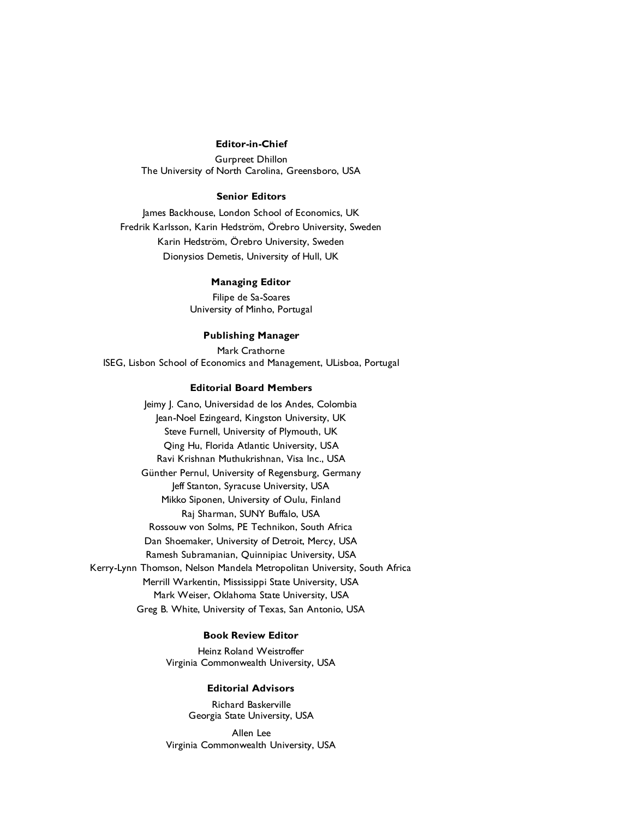#### **Editor-in-Chief**

Gurpreet Dhillon The University of North Carolina, Greensboro, USA

#### **Senior Editors**

James Backhouse, London School of Economics, UK Fredrik Karlsson, Karin Hedström, Örebro University, Sweden Karin Hedström, Örebro University, Sweden Dionysios Demetis, University of Hull, UK

#### **Managing Editor**

Filipe de Sa-Soares University of Minho, Portugal

## **Publishing Manager**

Mark Crathorne ISEG, Lisbon School of Economics and Management, ULisboa, Portugal

## **Editorial Board Members**

Jeimy J. Cano, Universidad de los Andes, Colombia Jean-Noel Ezingeard, Kingston University, UK Steve Furnell, University of Plymouth, UK Qing Hu, Florida Atlantic University, USA Ravi Krishnan Muthukrishnan, Visa Inc., USA Günther Pernul, University of Regensburg, Germany Jeff Stanton, Syracuse University, USA Mikko Siponen, University of Oulu, Finland Raj Sharman, SUNY Buffalo, USA Rossouw von Solms, PE Technikon, South Africa Dan Shoemaker, University of Detroit, Mercy, USA Ramesh Subramanian, Quinnipiac University, USA Kerry-Lynn Thomson, Nelson Mandela Metropolitan University, South Africa Merrill Warkentin, Mississippi State University, USA Mark Weiser, Oklahoma State University, USA Greg B. White, University of Texas, San Antonio, USA

## **Book Review Editor**

Heinz Roland Weistroffer Virginia Commonwealth University, USA

## **Editorial Advisors**

Richard Baskerville Georgia State University, USA

Allen Lee Virginia Commonwealth University, USA